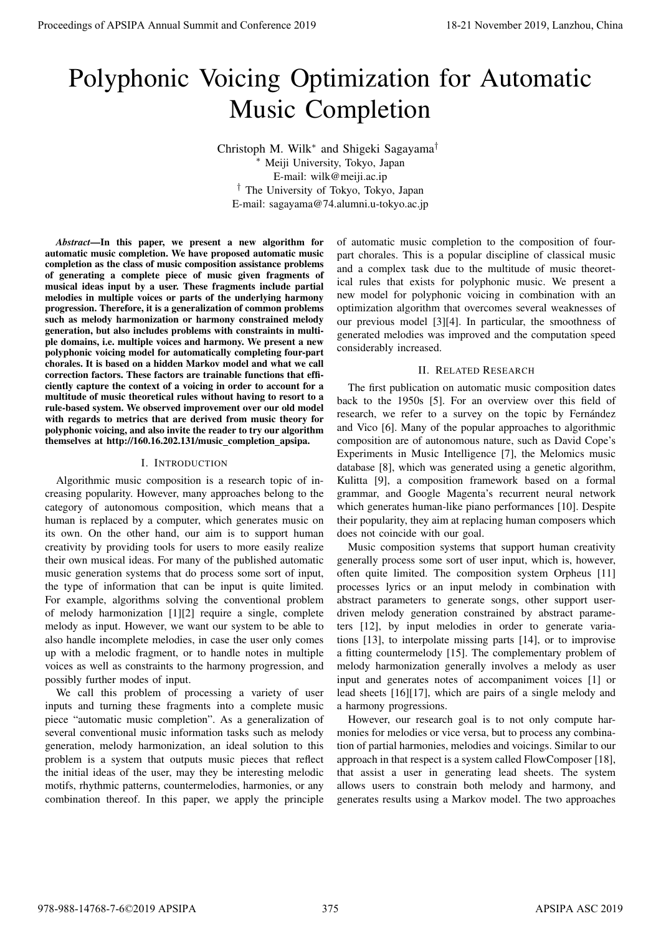# Polyphonic Voicing Optimization for Automatic Music Completion

Christoph M. Wilk<sup>∗</sup> and Shigeki Sagayama† <sup>∗</sup> Meiji University, Tokyo, Japan E-mail: wilk@meiji.ac.ip † The University of Tokyo, Tokyo, Japan E-mail: sagayama@74.alumni.u-tokyo.ac.jp

*Abstract*—In this paper, we present a new algorithm for automatic music completion. We have proposed automatic music completion as the class of music composition assistance problems of generating a complete piece of music given fragments of musical ideas input by a user. These fragments include partial melodies in multiple voices or parts of the underlying harmony progression. Therefore, it is a generalization of common problems such as melody harmonization or harmony constrained melody generation, but also includes problems with constraints in multiple domains, i.e. multiple voices and harmony. We present a new polyphonic voicing model for automatically completing four-part chorales. It is based on a hidden Markov model and what we call correction factors. These factors are trainable functions that efficiently capture the context of a voicing in order to account for a multitude of music theoretical rules without having to resort to a rule-based system. We observed improvement over our old model with regards to metrics that are derived from music theory for polyphonic voicing, and also invite the reader to try our algorithm themselves at http://160.16.202.131/music completion apsipa.

## I. INTRODUCTION

Algorithmic music composition is a research topic of increasing popularity. However, many approaches belong to the category of autonomous composition, which means that a human is replaced by a computer, which generates music on its own. On the other hand, our aim is to support human creativity by providing tools for users to more easily realize their own musical ideas. For many of the published automatic music generation systems that do process some sort of input, the type of information that can be input is quite limited. For example, algorithms solving the conventional problem of melody harmonization [1][2] require a single, complete melody as input. However, we want our system to be able to also handle incomplete melodies, in case the user only comes up with a melodic fragment, or to handle notes in multiple voices as well as constraints to the harmony progression, and possibly further modes of input. **Proceedings of APSIPA Annual Summit and Conference 2019**<br> **Proceedings of AUSTRA COMPLETION CONFERENCE AND ANNUAL AND CONFERENCE AND ANNUAL AND CONFERENCE AND ANNUAL AND CONFERENCE AND ANNUAL AND CONFERENCE AND ARE ARRES** 

We call this problem of processing a variety of user inputs and turning these fragments into a complete music piece "automatic music completion". As a generalization of several conventional music information tasks such as melody generation, melody harmonization, an ideal solution to this problem is a system that outputs music pieces that reflect the initial ideas of the user, may they be interesting melodic motifs, rhythmic patterns, countermelodies, harmonies, or any combination thereof. In this paper, we apply the principle

of automatic music completion to the composition of fourpart chorales. This is a popular discipline of classical music and a complex task due to the multitude of music theoretical rules that exists for polyphonic music. We present a new model for polyphonic voicing in combination with an optimization algorithm that overcomes several weaknesses of our previous model [3][4]. In particular, the smoothness of generated melodies was improved and the computation speed considerably increased.

### II. RELATED RESEARCH

The first publication on automatic music composition dates back to the 1950s [5]. For an overview over this field of research, we refer to a survey on the topic by Fernández and Vico [6]. Many of the popular approaches to algorithmic composition are of autonomous nature, such as David Cope's Experiments in Music Intelligence [7], the Melomics music database [8], which was generated using a genetic algorithm, Kulitta [9], a composition framework based on a formal grammar, and Google Magenta's recurrent neural network which generates human-like piano performances [10]. Despite their popularity, they aim at replacing human composers which does not coincide with our goal.

Music composition systems that support human creativity generally process some sort of user input, which is, however, often quite limited. The composition system Orpheus [11] processes lyrics or an input melody in combination with abstract parameters to generate songs, other support userdriven melody generation constrained by abstract parameters [12], by input melodies in order to generate variations [13], to interpolate missing parts [14], or to improvise a fitting countermelody [15]. The complementary problem of melody harmonization generally involves a melody as user input and generates notes of accompaniment voices [1] or lead sheets [16][17], which are pairs of a single melody and a harmony progressions.

However, our research goal is to not only compute harmonies for melodies or vice versa, but to process any combination of partial harmonies, melodies and voicings. Similar to our approach in that respect is a system called FlowComposer [18], that assist a user in generating lead sheets. The system allows users to constrain both melody and harmony, and generates results using a Markov model. The two approaches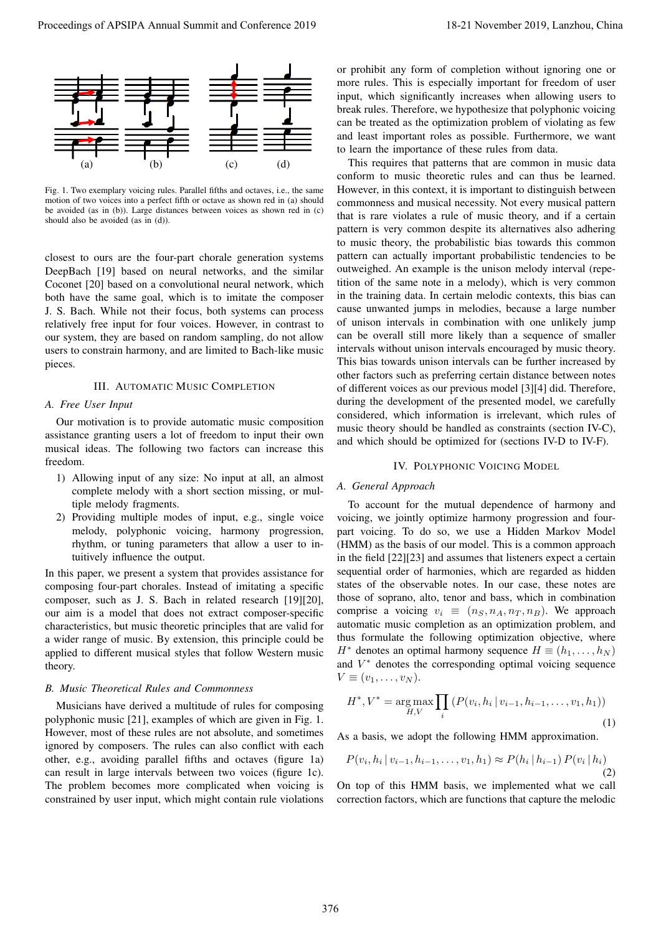

Fig. 1. Two exemplary voicing rules. Parallel fifths and octaves, i.e., the same motion of two voices into a perfect fifth or octave as shown red in (a) should be avoided (as in (b)). Large distances between voices as shown red in (c) should also be avoided (as in (d)).

closest to ours are the four-part chorale generation systems DeepBach [19] based on neural networks, and the similar Coconet [20] based on a convolutional neural network, which both have the same goal, which is to imitate the composer J. S. Bach. While not their focus, both systems can process relatively free input for four voices. However, in contrast to our system, they are based on random sampling, do not allow users to constrain harmony, and are limited to Bach-like music pieces.

#### III. AUTOMATIC MUSIC COMPLETION

## *A. Free User Input*

Our motivation is to provide automatic music composition assistance granting users a lot of freedom to input their own musical ideas. The following two factors can increase this freedom.

- 1) Allowing input of any size: No input at all, an almost complete melody with a short section missing, or multiple melody fragments.
- 2) Providing multiple modes of input, e.g., single voice melody, polyphonic voicing, harmony progression, rhythm, or tuning parameters that allow a user to intuitively influence the output.

In this paper, we present a system that provides assistance for composing four-part chorales. Instead of imitating a specific composer, such as J. S. Bach in related research [19][20], our aim is a model that does not extract composer-specific characteristics, but music theoretic principles that are valid for a wider range of music. By extension, this principle could be applied to different musical styles that follow Western music theory.

#### *B. Music Theoretical Rules and Commonness*

Musicians have derived a multitude of rules for composing polyphonic music [21], examples of which are given in Fig. 1. However, most of these rules are not absolute, and sometimes ignored by composers. The rules can also conflict with each other, e.g., avoiding parallel fifths and octaves (figure 1a) can result in large intervals between two voices (figure 1c). The problem becomes more complicated when voicing is constrained by user input, which might contain rule violations

or prohibit any form of completion without ignoring one or more rules. This is especially important for freedom of user input, which significantly increases when allowing users to break rules. Therefore, we hypothesize that polyphonic voicing can be treated as the optimization problem of violating as few and least important roles as possible. Furthermore, we want to learn the importance of these rules from data.

This requires that patterns that are common in music data conform to music theoretic rules and can thus be learned. However, in this context, it is important to distinguish between commonness and musical necessity. Not every musical pattern that is rare violates a rule of music theory, and if a certain pattern is very common despite its alternatives also adhering to music theory, the probabilistic bias towards this common pattern can actually important probabilistic tendencies to be outweighed. An example is the unison melody interval (repetition of the same note in a melody), which is very common in the training data. In certain melodic contexts, this bias can cause unwanted jumps in melodies, because a large number of unison intervals in combination with one unlikely jump can be overall still more likely than a sequence of smaller intervals without unison intervals encouraged by music theory. This bias towards unison intervals can be further increased by other factors such as preferring certain distance between notes of different voices as our previous model [3][4] did. Therefore, during the development of the presented model, we carefully considered, which information is irrelevant, which rules of music theory should be handled as constraints (section IV-C), and which should be optimized for (sections IV-D to IV-F). Proceedings of APSIPA Annual Summit at the Summit and Europea 2019<br>
Proceedings of APSIPA Annual Summit and Conference 2019 18-21 November 2019 18-21 November 2019 18-21 November 2019 18-21 November 2019 18-21 November 20

#### IV. POLYPHONIC VOICING MODEL

#### *A. General Approach*

To account for the mutual dependence of harmony and voicing, we jointly optimize harmony progression and fourpart voicing. To do so, we use a Hidden Markov Model (HMM) as the basis of our model. This is a common approach in the field [22][23] and assumes that listeners expect a certain sequential order of harmonies, which are regarded as hidden states of the observable notes. In our case, these notes are those of soprano, alto, tenor and bass, which in combination comprise a voicing  $v_i \equiv (n_S, n_A, n_T, n_B)$ . We approach automatic music completion as an optimization problem, and thus formulate the following optimization objective, where  $H^*$  denotes an optimal harmony sequence  $H \equiv (h_1, \ldots, h_N)$ and  $V^*$  denotes the corresponding optimal voicing sequence  $V \equiv (v_1, \ldots, v_N).$ 

$$
H^*, V^* = \underset{H,V}{\text{arg}\max} \prod_i \left( P(v_i, h_i \, | \, v_{i-1}, h_{i-1}, \dots, v_1, h_1) \right) \tag{1}
$$

As a basis, we adopt the following HMM approximation.

$$
P(v_i, h_i | v_{i-1}, h_{i-1}, \dots, v_1, h_1) \approx P(h_i | h_{i-1}) P(v_i | h_i)
$$
\n(2)

On top of this HMM basis, we implemented what we call correction factors, which are functions that capture the melodic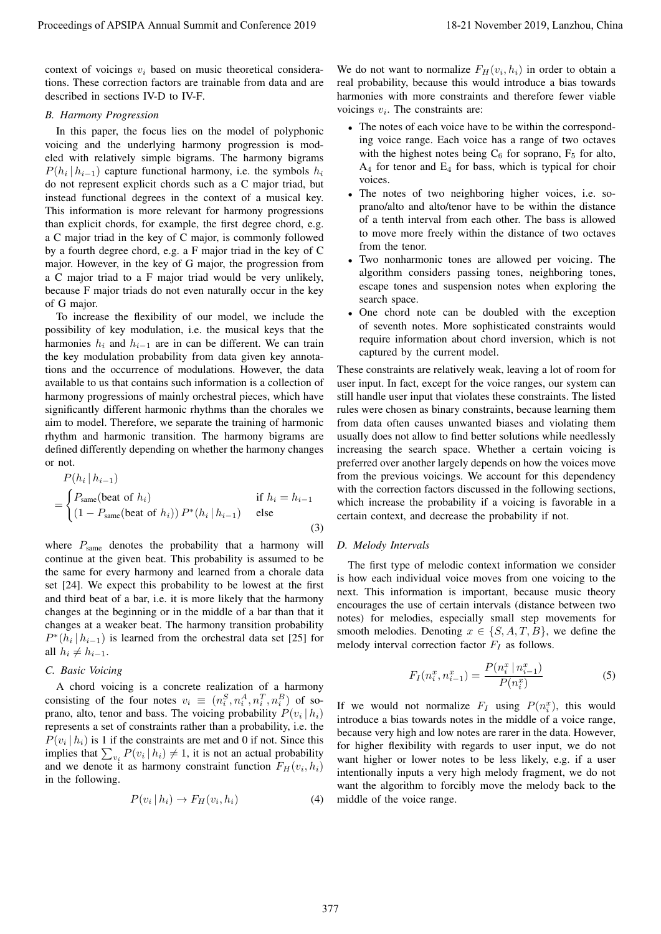context of voicings  $v_i$  based on music theoretical considerations. These correction factors are trainable from data and are described in sections IV-D to IV-F.

# *B. Harmony Progression*

In this paper, the focus lies on the model of polyphonic voicing and the underlying harmony progression is modeled with relatively simple bigrams. The harmony bigrams  $P(h_i | h_{i-1})$  capture functional harmony, i.e. the symbols  $h_i$ do not represent explicit chords such as a C major triad, but instead functional degrees in the context of a musical key. This information is more relevant for harmony progressions than explicit chords, for example, the first degree chord, e.g. a C major triad in the key of C major, is commonly followed by a fourth degree chord, e.g. a F major triad in the key of C major. However, in the key of G major, the progression from a C major triad to a F major triad would be very unlikely, because F major triads do not even naturally occur in the key of G major. Proceedings of APSIPA Annual Summit and Conference 2019<br>
content of the main target content in the conference 2019 in the conference 2019 in the conference 2019 in the conference 2019 in the conference 2019 in the confere

To increase the flexibility of our model, we include the possibility of key modulation, i.e. the musical keys that the harmonies  $h_i$  and  $h_{i-1}$  are in can be different. We can train the key modulation probability from data given key annotations and the occurrence of modulations. However, the data available to us that contains such information is a collection of harmony progressions of mainly orchestral pieces, which have significantly different harmonic rhythms than the chorales we aim to model. Therefore, we separate the training of harmonic rhythm and harmonic transition. The harmony bigrams are defined differently depending on whether the harmony changes or not.

$$
P(h_i | h_{i-1})
$$
  
= 
$$
\begin{cases} P_{\text{same}}(\text{beat of } h_i) & \text{if } h_i = h_{i-1} \\ (1 - P_{\text{same}}(\text{beat of } h_i)) P^*(h_i | h_{i-1}) & \text{else} \end{cases}
$$
(3)

where  $P_{\text{same}}$  denotes the probability that a harmony will continue at the given beat. This probability is assumed to be the same for every harmony and learned from a chorale data set [24]. We expect this probability to be lowest at the first and third beat of a bar, i.e. it is more likely that the harmony changes at the beginning or in the middle of a bar than that it changes at a weaker beat. The harmony transition probability  $P^*(h_i \mid h_{i-1})$  is learned from the orchestral data set [25] for all  $h_i \neq h_{i-1}$ .

# *C. Basic Voicing*

A chord voicing is a concrete realization of a harmony consisting of the four notes  $v_i \equiv (n_i^S, n_i^A, n_i^T, n_i^B)$  of soprano, alto, tenor and bass. The voicing probability  $P(v_i | h_i)$ represents a set of constraints rather than a probability, i.e. the  $P(v_i | h_i)$  is 1 if the constraints are met and 0 if not. Since this implies that  $\sum_{v_i} P(v_i | h_i) \neq 1$ , it is not an actual probability and we denote it as harmony constraint function  $F_H(v_i, h_i)$ in the following.

$$
P(v_i | h_i) \to F_H(v_i, h_i)
$$
\n<sup>(4)</sup>

We do not want to normalize  $F_H(v_i, h_i)$  in order to obtain a real probability, because this would introduce a bias towards harmonies with more constraints and therefore fewer viable voicings  $v_i$ . The constraints are:

- The notes of each voice have to be within the corresponding voice range. Each voice has a range of two octaves with the highest notes being  $C_6$  for soprano,  $F_5$  for alto,  $A_4$  for tenor and  $E_4$  for bass, which is typical for choir voices.
- The notes of two neighboring higher voices, i.e. soprano/alto and alto/tenor have to be within the distance of a tenth interval from each other. The bass is allowed to move more freely within the distance of two octaves from the tenor.
- Two nonharmonic tones are allowed per voicing. The algorithm considers passing tones, neighboring tones, escape tones and suspension notes when exploring the search space.
- One chord note can be doubled with the exception of seventh notes. More sophisticated constraints would require information about chord inversion, which is not captured by the current model.

These constraints are relatively weak, leaving a lot of room for user input. In fact, except for the voice ranges, our system can still handle user input that violates these constraints. The listed rules were chosen as binary constraints, because learning them from data often causes unwanted biases and violating them usually does not allow to find better solutions while needlessly increasing the search space. Whether a certain voicing is preferred over another largely depends on how the voices move from the previous voicings. We account for this dependency with the correction factors discussed in the following sections, which increase the probability if a voicing is favorable in a certain context, and decrease the probability if not.

# *D. Melody Intervals*

The first type of melodic context information we consider is how each individual voice moves from one voicing to the next. This information is important, because music theory encourages the use of certain intervals (distance between two notes) for melodies, especially small step movements for smooth melodies. Denoting  $x \in \{S, A, T, B\}$ , we define the melody interval correction factor  $F_I$  as follows.

$$
F_I(n_i^x, n_{i-1}^x) = \frac{P(n_i^x \mid n_{i-1}^x)}{P(n_i^x)}
$$
(5)

If we would not normalize  $F_I$  using  $P(n_i^x)$ , this would introduce a bias towards notes in the middle of a voice range, because very high and low notes are rarer in the data. However, for higher flexibility with regards to user input, we do not want higher or lower notes to be less likely, e.g. if a user intentionally inputs a very high melody fragment, we do not want the algorithm to forcibly move the melody back to the middle of the voice range.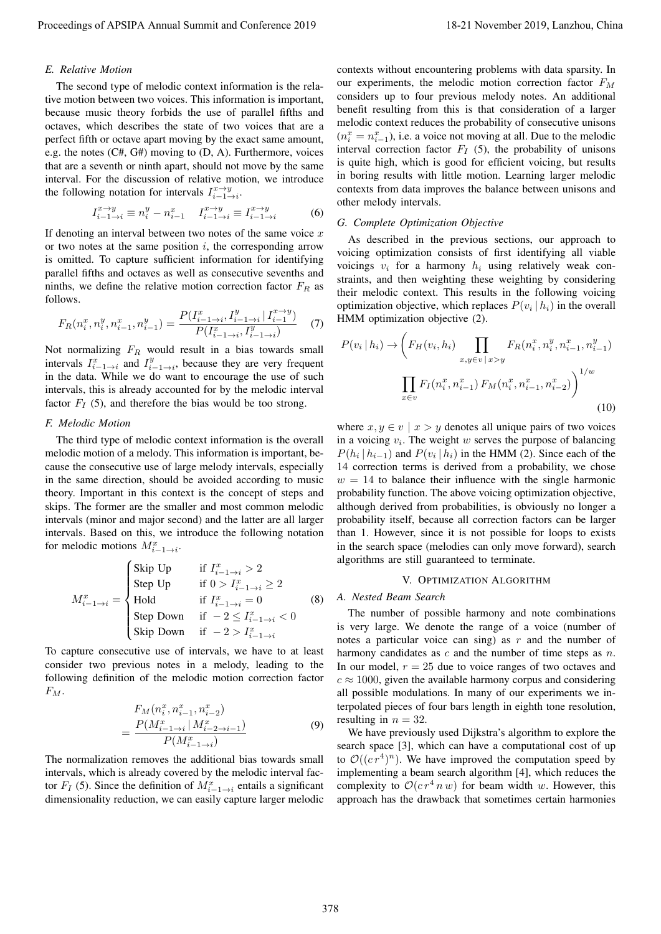## *E. Relative Motion*

The second type of melodic context information is the relative motion between two voices. This information is important, because music theory forbids the use of parallel fifths and octaves, which describes the state of two voices that are a perfect fifth or octave apart moving by the exact same amount, e.g. the notes (C#, G#) moving to (D, A). Furthermore, voices that are a seventh or ninth apart, should not move by the same interval. For the discussion of relative motion, we introduce the following notation for intervals  $I_{i-1\to i}^{x\to y}$ .

$$
I_{i-1 \to i}^{x \to y} \equiv n_i^y - n_{i-1}^x \quad I_{i-1 \to i}^{x \to y} \equiv I_{i-1 \to i}^{x \to y}
$$
 (6)

If denoting an interval between two notes of the same voice  $x$ or two notes at the same position  $i$ , the corresponding arrow is omitted. To capture sufficient information for identifying parallel fifths and octaves as well as consecutive sevenths and ninths, we define the relative motion correction factor  $F_R$  as follows.

$$
F_R(n_i^x, n_i^y, n_{i-1}^x, n_{i-1}^y) = \frac{P(I_{i-1 \to i}^x, I_{i-1 \to i}^y | I_{i-1}^{x \to y})}{P(I_{i-1 \to i}^x, I_{i-1 \to i}^y)} \tag{7}
$$

Not normalizing  $F_R$  would result in a bias towards small intervals  $I_{i-1\to i}^x$  and  $I_{i-1\to i}^y$ , because they are very frequent in the data. While we do want to encourage the use of such intervals, this is already accounted for by the melodic interval factor  $F_I$  (5), and therefore the bias would be too strong.

## *F. Melodic Motion*

The third type of melodic context information is the overall melodic motion of a melody. This information is important, because the consecutive use of large melody intervals, especially in the same direction, should be avoided according to music theory. Important in this context is the concept of steps and skips. The former are the smaller and most common melodic intervals (minor and major second) and the latter are all larger intervals. Based on this, we introduce the following notation for melodic motions  $M_{i-1\to i}^x$ .

$$
M_{i-1\to i}^x = \begin{cases} \text{skip Up} & \text{if } I_{i-1\to i}^x > 2 \\ \text{Step Up} & \text{if } 0 > I_{i-1\to i}^x \ge 2 \\ \text{Hold} & \text{if } I_{i-1\to i}^x = 0 \\ \text{Step Down} & \text{if } -2 \le I_{i-1\to i}^x < 0 \\ \text{skip Down} & \text{if } -2 > I_{i-1\to i}^x \end{cases}
$$
(8)

To capture consecutive use of intervals, we have to at least consider two previous notes in a melody, leading to the following definition of the melodic motion correction factor  $F_M$ .

$$
F_M(n_i^x, n_{i-1}^x, n_{i-2}^x)
$$
  
= 
$$
\frac{P(M_{i-1\to i}^x | M_{i-2\to i-1}^x)}{P(M_{i-1\to i}^x)}
$$
 (9)

The normalization removes the additional bias towards small intervals, which is already covered by the melodic interval factor  $F_I$  (5). Since the definition of  $M_{i-1\to i}^x$  entails a significant dimensionality reduction, we can easily capture larger melodic

contexts without encountering problems with data sparsity. In our experiments, the melodic motion correction factor  $F_M$ considers up to four previous melody notes. An additional benefit resulting from this is that consideration of a larger melodic context reduces the probability of consecutive unisons  $(n_i^x = n_{i-1}^x)$ , i.e. a voice not moving at all. Due to the melodic interval correction factor  $F_I$  (5), the probability of unisons is quite high, which is good for efficient voicing, but results in boring results with little motion. Learning larger melodic contexts from data improves the balance between unisons and other melody intervals.

#### *G. Complete Optimization Objective*

As described in the previous sections, our approach to voicing optimization consists of first identifying all viable voicings  $v_i$  for a harmony  $h_i$  using relatively weak constraints, and then weighting these weighting by considering their melodic context. This results in the following voicing optimization objective, which replaces  $P(v_i | h_i)$  in the overall HMM optimization objective (2).

$$
P(v_i | h_i) \rightarrow \left(F_H(v_i, h_i) \prod_{x, y \in v | x > y} F_R(n_i^x, n_i^y, n_{i-1}^x, n_{i-1}^y) \prod_{x \in v} F_I(n_i^x, n_{i-1}^x) F_M(n_i^x, n_{i-1}^x, n_{i-2}^x) \right)^{1/w}
$$
\n(10)

where  $x, y \in v \mid x > y$  denotes all unique pairs of two voices in a voicing  $v_i$ . The weight w serves the purpose of balancing  $P(h_i \mid h_{i-1})$  and  $P(v_i \mid h_i)$  in the HMM (2). Since each of the 14 correction terms is derived from a probability, we chose  $w = 14$  to balance their influence with the single harmonic probability function. The above voicing optimization objective, although derived from probabilities, is obviously no longer a probability itself, because all correction factors can be larger than 1. However, since it is not possible for loops to exists in the search space (melodies can only move forward), search algorithms are still guaranteed to terminate. Proceedings of APSIPA Annual Summit and Conference 2019<br>
C. Also, Conference 2019, Lanzhou, Conference 2019, Lanzhou, Conference 2019, Lanzhou, Conference 2019, Lanzhou, Conference 2019, Lanzhou, Conference 2019, Lanzhou

#### V. OPTIMIZATION ALGORITHM

#### *A. Nested Beam Search*

The number of possible harmony and note combinations is very large. We denote the range of a voice (number of notes a particular voice can sing) as  $r$  and the number of harmony candidates as  $c$  and the number of time steps as  $n$ . In our model,  $r = 25$  due to voice ranges of two octaves and  $c \approx 1000$ , given the available harmony corpus and considering all possible modulations. In many of our experiments we interpolated pieces of four bars length in eighth tone resolution, resulting in  $n = 32$ .

We have previously used Dijkstra's algorithm to explore the search space [3], which can have a computational cost of up to  $\mathcal{O}((cr^4)^n)$ . We have improved the computation speed by implementing a beam search algorithm [4], which reduces the complexity to  $\mathcal{O}(c r^4 n w)$  for beam width w. However, this approach has the drawback that sometimes certain harmonies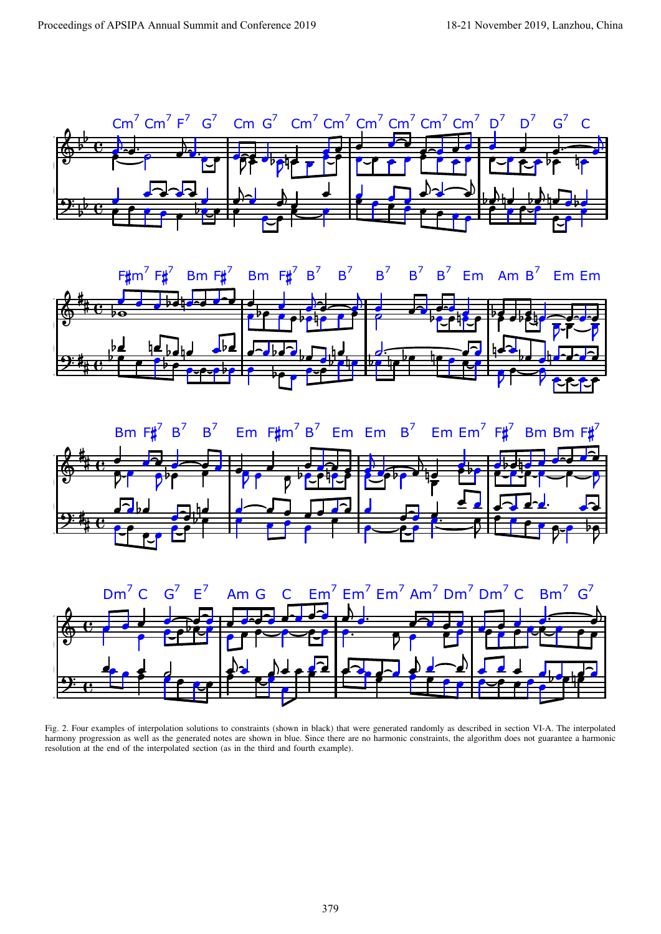







Fig. 2. Four examples of interpolation solutions to constraints (shown in black) that were generated randomly as described in section VI-A. The interpolated harmony progression as well as the generated notes are shown in blue. Since there are no harmonic constraints, the algorithm does not guarantee a harmonic resolution at the end of the interpolated section (as in the third and fourth example).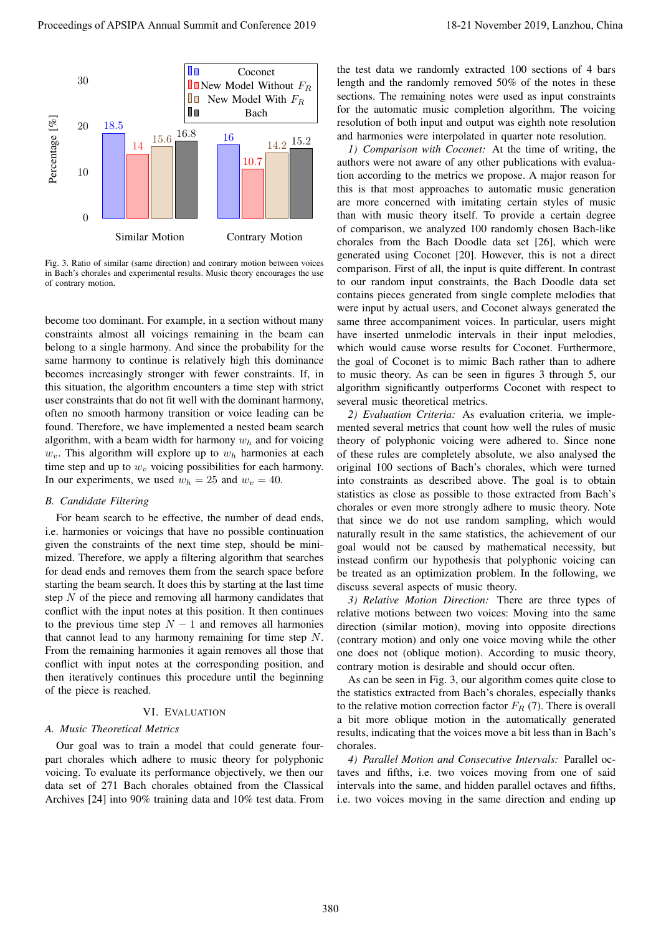

Fig. 3. Ratio of similar (same direction) and contrary motion between voices in Bach's chorales and experimental results. Music theory encourages the use of contrary motion.

become too dominant. For example, in a section without many constraints almost all voicings remaining in the beam can belong to a single harmony. And since the probability for the same harmony to continue is relatively high this dominance becomes increasingly stronger with fewer constraints. If, in this situation, the algorithm encounters a time step with strict user constraints that do not fit well with the dominant harmony, often no smooth harmony transition or voice leading can be found. Therefore, we have implemented a nested beam search algorithm, with a beam width for harmony  $w<sub>h</sub>$  and for voicing  $w_v$ . This algorithm will explore up to  $w_h$  harmonies at each time step and up to  $w<sub>v</sub>$  voicing possibilities for each harmony. In our experiments, we used  $w_h = 25$  and  $w_v = 40$ .

# *B. Candidate Filtering*

For beam search to be effective, the number of dead ends, i.e. harmonies or voicings that have no possible continuation given the constraints of the next time step, should be minimized. Therefore, we apply a filtering algorithm that searches for dead ends and removes them from the search space before starting the beam search. It does this by starting at the last time step  $N$  of the piece and removing all harmony candidates that conflict with the input notes at this position. It then continues to the previous time step  $N - 1$  and removes all harmonies that cannot lead to any harmony remaining for time step N. From the remaining harmonies it again removes all those that conflict with input notes at the corresponding position, and then iteratively continues this procedure until the beginning of the piece is reached.

# VI. EVALUATION

## *A. Music Theoretical Metrics*

Our goal was to train a model that could generate fourpart chorales which adhere to music theory for polyphonic voicing. To evaluate its performance objectively, we then our data set of 271 Bach chorales obtained from the Classical Archives [24] into 90% training data and 10% test data. From

the test data we randomly extracted 100 sections of 4 bars length and the randomly removed 50% of the notes in these sections. The remaining notes were used as input constraints for the automatic music completion algorithm. The voicing resolution of both input and output was eighth note resolution and harmonies were interpolated in quarter note resolution.

*1) Comparison with Coconet:* At the time of writing, the authors were not aware of any other publications with evaluation according to the metrics we propose. A major reason for this is that most approaches to automatic music generation are more concerned with imitating certain styles of music than with music theory itself. To provide a certain degree of comparison, we analyzed 100 randomly chosen Bach-like chorales from the Bach Doodle data set [26], which were generated using Coconet [20]. However, this is not a direct comparison. First of all, the input is quite different. In contrast to our random input constraints, the Bach Doodle data set contains pieces generated from single complete melodies that were input by actual users, and Coconet always generated the same three accompaniment voices. In particular, users might have inserted unmelodic intervals in their input melodies, which would cause worse results for Coconet. Furthermore, the goal of Coconet is to mimic Bach rather than to adhere to music theory. As can be seen in figures 3 through 5, our algorithm significantly outperforms Coconet with respect to several music theoretical metrics. Proceedings of APSIPA Annual Summit is the form of  $\mu$  and  $\mu$  and  $\mu$  and  $\mu$  and  $\mu$  and  $\mu$  and  $\mu$  and  $\mu$  and  $\mu$  and  $\mu$  and  $\mu$  and  $\mu$  and  $\mu$  and  $\mu$  and  $\mu$  and  $\mu$  and  $\mu$  and  $\mu$  and  $\mu$  and

*2) Evaluation Criteria:* As evaluation criteria, we implemented several metrics that count how well the rules of music theory of polyphonic voicing were adhered to. Since none of these rules are completely absolute, we also analysed the original 100 sections of Bach's chorales, which were turned into constraints as described above. The goal is to obtain statistics as close as possible to those extracted from Bach's chorales or even more strongly adhere to music theory. Note that since we do not use random sampling, which would naturally result in the same statistics, the achievement of our goal would not be caused by mathematical necessity, but instead confirm our hypothesis that polyphonic voicing can be treated as an optimization problem. In the following, we discuss several aspects of music theory.

*3) Relative Motion Direction:* There are three types of relative motions between two voices: Moving into the same direction (similar motion), moving into opposite directions (contrary motion) and only one voice moving while the other one does not (oblique motion). According to music theory, contrary motion is desirable and should occur often.

As can be seen in Fig. 3, our algorithm comes quite close to the statistics extracted from Bach's chorales, especially thanks to the relative motion correction factor  $F_R$  (7). There is overall a bit more oblique motion in the automatically generated results, indicating that the voices move a bit less than in Bach's chorales.

*4) Parallel Motion and Consecutive Intervals:* Parallel octaves and fifths, i.e. two voices moving from one of said intervals into the same, and hidden parallel octaves and fifths, i.e. two voices moving in the same direction and ending up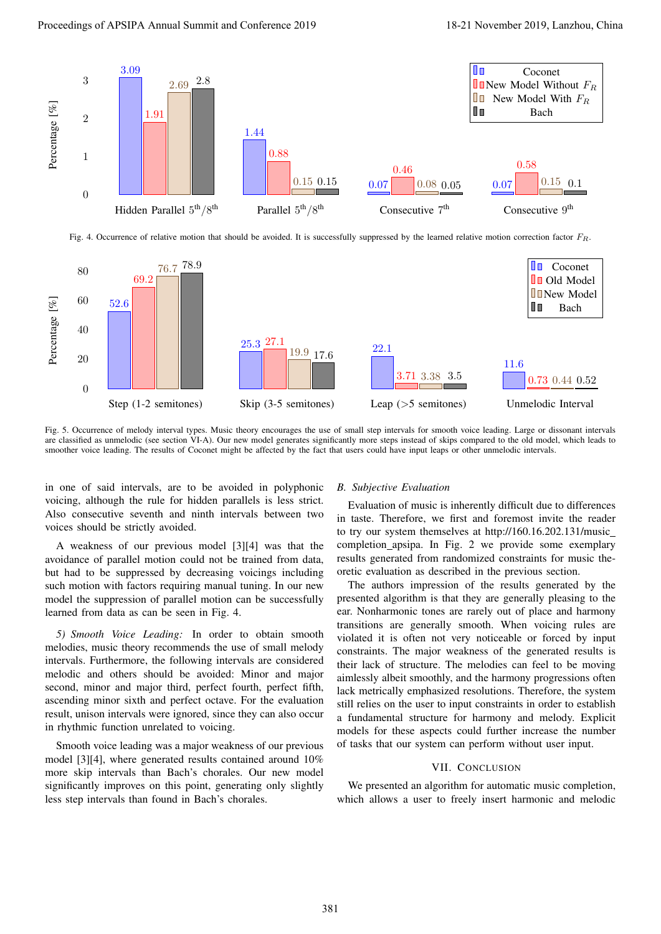

Fig. 4. Occurrence of relative motion that should be avoided. It is successfully suppressed by the learned relative motion correction factor  $F_R$ .



Fig. 5. Occurrence of melody interval types. Music theory encourages the use of small step intervals for smooth voice leading. Large or dissonant intervals are classified as unmelodic (see section VI-A). Our new model generates significantly more steps instead of skips compared to the old model, which leads to smoother voice leading. The results of Coconet might be affected by the fact that users could have input leaps or other unmelodic intervals.

in one of said intervals, are to be avoided in polyphonic voicing, although the rule for hidden parallels is less strict. Also consecutive seventh and ninth intervals between two voices should be strictly avoided.

A weakness of our previous model [3][4] was that the avoidance of parallel motion could not be trained from data, but had to be suppressed by decreasing voicings including such motion with factors requiring manual tuning. In our new model the suppression of parallel motion can be successfully learned from data as can be seen in Fig. 4.

*5) Smooth Voice Leading:* In order to obtain smooth melodies, music theory recommends the use of small melody intervals. Furthermore, the following intervals are considered melodic and others should be avoided: Minor and major second, minor and major third, perfect fourth, perfect fifth, ascending minor sixth and perfect octave. For the evaluation result, unison intervals were ignored, since they can also occur in rhythmic function unrelated to voicing.

Smooth voice leading was a major weakness of our previous model [3][4], where generated results contained around 10% more skip intervals than Bach's chorales. Our new model significantly improves on this point, generating only slightly less step intervals than found in Bach's chorales.

#### *B. Subjective Evaluation*

Evaluation of music is inherently difficult due to differences in taste. Therefore, we first and foremost invite the reader to try our system themselves at http://160.16.202.131/music completion apsipa. In Fig. 2 we provide some exemplary results generated from randomized constraints for music theoretic evaluation as described in the previous section.

The authors impression of the results generated by the presented algorithm is that they are generally pleasing to the ear. Nonharmonic tones are rarely out of place and harmony transitions are generally smooth. When voicing rules are violated it is often not very noticeable or forced by input constraints. The major weakness of the generated results is their lack of structure. The melodies can feel to be moving aimlessly albeit smoothly, and the harmony progressions often lack metrically emphasized resolutions. Therefore, the system still relies on the user to input constraints in order to establish a fundamental structure for harmony and melody. Explicit models for these aspects could further increase the number of tasks that our system can perform without user input.

#### VII. CONCLUSION

We presented an algorithm for automatic music completion, which allows a user to freely insert harmonic and melodic